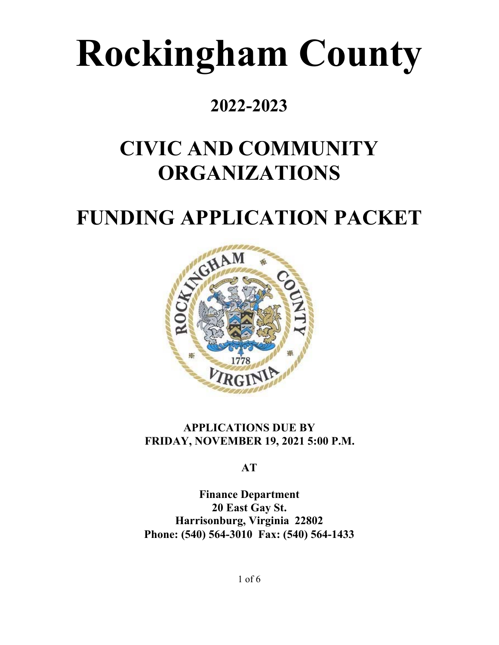# **Rockingham County**

### **2022-2023**

## **CIVIC AND COMMUNITY ORGANIZATIONS**

## **FUNDING APPLICATION PACKET**



#### **APPLICATIONS DUE BY FRIDAY, NOVEMBER 19, 2021 5:00 P.M.**

**AT** 

**Finance Department 20 East Gay St. Harrisonburg, Virginia 22802 Phone: (540) 564-3010 Fax: (540) 564-1433** 

1 of 6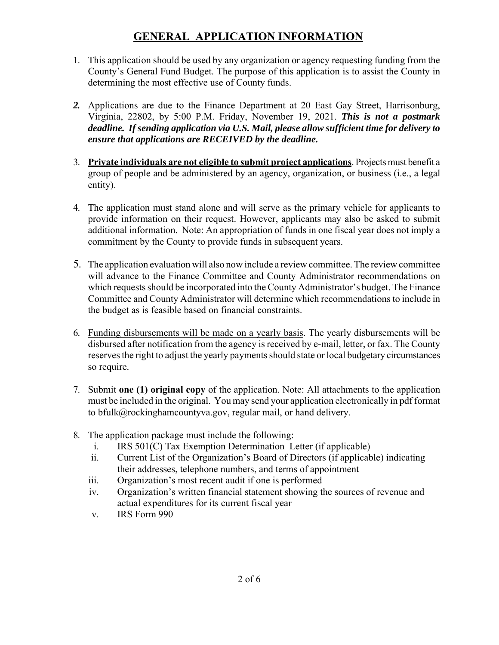#### **GENERAL APPLICATION INFORMATION**

- 1. This application should be used by any organization or agency requesting funding from the County's General Fund Budget. The purpose of this application is to assist the County in determining the most effective use of County funds.
- *2.* Applications are due to the Finance Department at 20 East Gay Street, Harrisonburg, Virginia, 22802, by 5:00 P.M. Friday, November 19, 2021. *This is not a postmark deadline. If sending application via U.S. Mail, please allow sufficient time for delivery to ensure that applications are RECEIVED by the deadline.*
- 3. **Private individuals are not eligible to submit project applications**. Projects must benefit a group of people and be administered by an agency, organization, or business (i.e., a legal entity).
- 4. The application must stand alone and will serve as the primary vehicle for applicants to provide information on their request. However, applicants may also be asked to submit additional information. Note: An appropriation of funds in one fiscal year does not imply a commitment by the County to provide funds in subsequent years.
- 5. The application evaluation will also now include a review committee. The review committee will advance to the Finance Committee and County Administrator recommendations on which requests should be incorporated into the County Administrator's budget. The Finance Committee and County Administrator will determine which recommendations to include in the budget as is feasible based on financial constraints.
- 6. Funding disbursements will be made on a yearly basis. The yearly disbursements will be disbursed after notification from the agency is received by e-mail, letter, or fax. The County reserves the right to adjust the yearly payments should state or local budgetary circumstances so require.
- 7. Submit **one (1) original copy** of the application. Note: All attachments to the application must be included in the original. You may send your application electronically in pdf format to bfulk@rockinghamcountyva.gov, regular mail, or hand delivery.
- 8. The application package must include the following:
	- i. IRS 501(C) Tax Exemption Determination Letter (if applicable)
	- ii. Current List of the Organization's Board of Directors (if applicable) indicating their addresses, telephone numbers, and terms of appointment
	- iii. Organization's most recent audit if one is performed
	- iv. Organization's written financial statement showing the sources of revenue and actual expenditures for its current fiscal year
	- v. IRS Form 990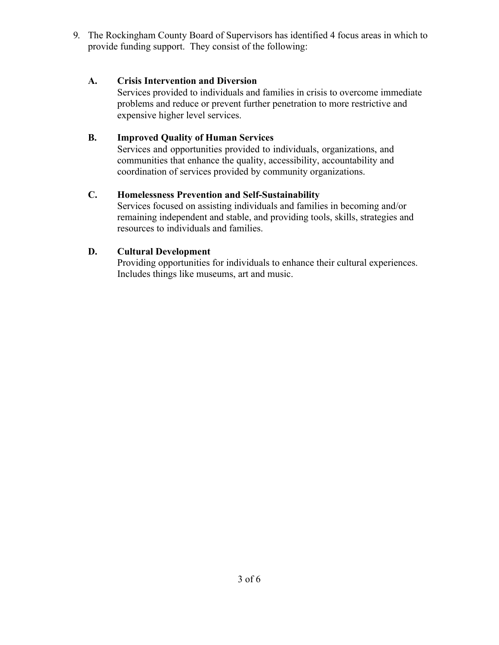9. The Rockingham County Board of Supervisors has identified 4 focus areas in which to provide funding support. They consist of the following:

#### **A. Crisis Intervention and Diversion**

Services provided to individuals and families in crisis to overcome immediate problems and reduce or prevent further penetration to more restrictive and expensive higher level services.

#### **B. Improved Quality of Human Services**

Services and opportunities provided to individuals, organizations, and communities that enhance the quality, accessibility, accountability and coordination of services provided by community organizations.

#### **C. Homelessness Prevention and Self-Sustainability**

Services focused on assisting individuals and families in becoming and/or remaining independent and stable, and providing tools, skills, strategies and resources to individuals and families.

#### **D. Cultural Development**

Providing opportunities for individuals to enhance their cultural experiences. Includes things like museums, art and music.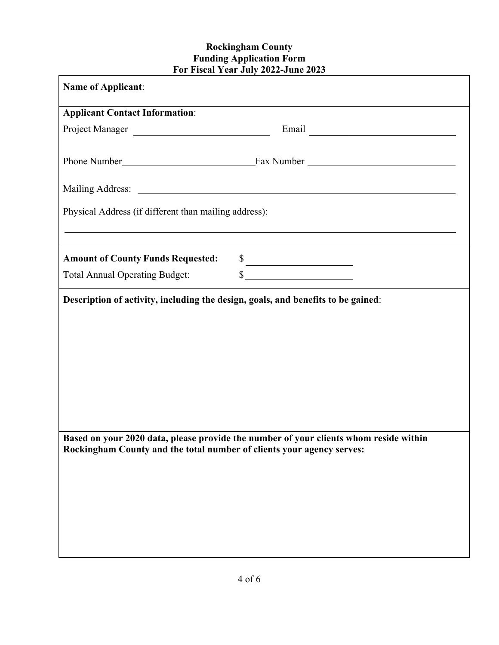#### **Rockingham County Funding Application Form For Fiscal Year July 2022-June 2023**

| <b>Name of Applicant:</b>                                             |                                                                                       |
|-----------------------------------------------------------------------|---------------------------------------------------------------------------------------|
| <b>Applicant Contact Information:</b>                                 |                                                                                       |
| Project Manager                                                       |                                                                                       |
|                                                                       |                                                                                       |
|                                                                       |                                                                                       |
| Physical Address (if different than mailing address):                 | ,我们也不会有一个人的人,我们也不会有一个人的人,我们也不会有一个人的人,我们也不会有一个人的人,我们也不会有一个人的人。""我们的人,我们也不会有一个人的人,我     |
| <b>Amount of County Funds Requested:</b>                              | $\frac{\text{S}}{\text{S}}$                                                           |
| <b>Total Annual Operating Budget:</b>                                 | $\frac{1}{2}$                                                                         |
|                                                                       |                                                                                       |
| Rockingham County and the total number of clients your agency serves: | Based on your 2020 data, please provide the number of your clients whom reside within |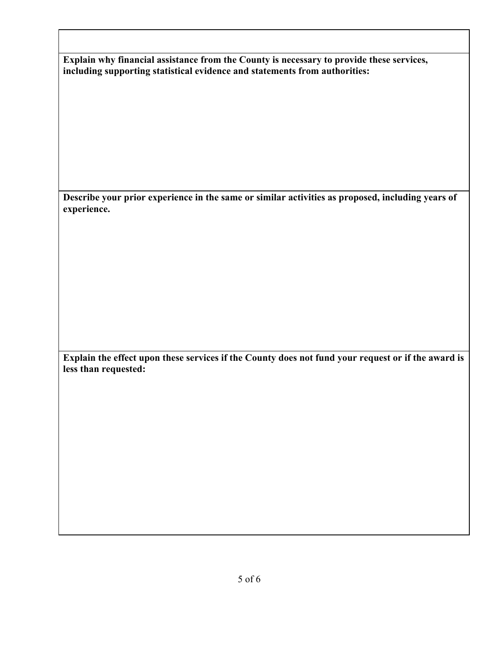| Explain why financial assistance from the County is necessary to provide these services, |  |
|------------------------------------------------------------------------------------------|--|
| including supporting statistical evidence and statements from authorities:               |  |

**Describe your prior experience in the same or similar activities as proposed, including years of experience.** 

**Explain the effect upon these services if the County does not fund your request or if the award is less than requested:**